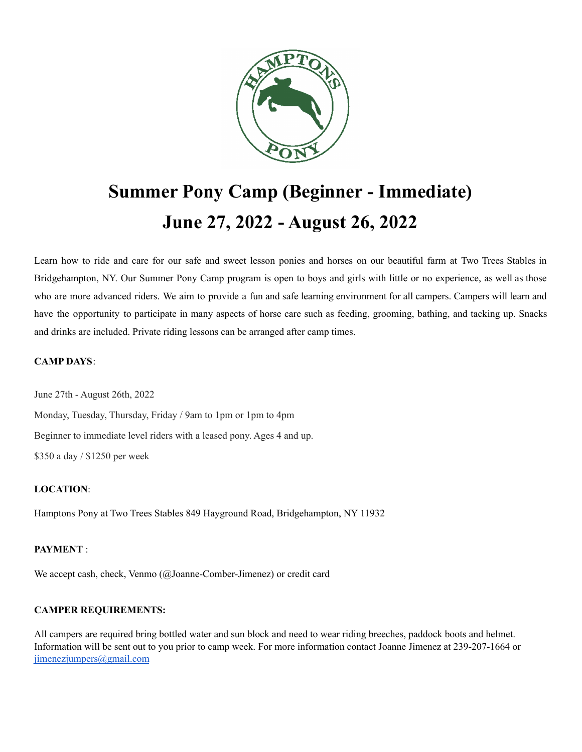

# **Summer Pony Camp (Beginner - Immediate) June 27, 2022 - August 26, 2022**

Learn how to ride and care for our safe and sweet lesson ponies and horses on our beautiful farm at Two Trees Stables in Bridgehampton, NY. Our Summer Pony Camp program is open to boys and girls with little or no experience, as well as those who are more advanced riders. We aim to provide a fun and safe learning environment for all campers. Campers will learn and have the opportunity to participate in many aspects of horse care such as feeding, grooming, bathing, and tacking up. Snacks and drinks are included. Private riding lessons can be arranged after camp times.

#### **CAMP DAYS**:

June 27th - August 26th, 2022

Monday, Tuesday, Thursday, Friday / 9am to 1pm or 1pm to 4pm Beginner to immediate level riders with a leased pony. Ages 4 and up. \$350 a day / \$1250 per week

#### **LOCATION**:

Hamptons Pony at Two Trees Stables 849 Hayground Road, Bridgehampton, NY 11932

#### **PAYMENT** :

We accept cash, check, Venmo (@Joanne-Comber-Jimenez) or credit card

### **CAMPER REQUIREMENTS:**

All campers are required bring bottled water and sun block and need to wear riding breeches, paddock boots and helmet. Information will be sent out to you prior to camp week. For more information contact Joanne Jimenez at 239-207-1664 or [jimenezjumpers@gmail.com](mailto:jimenezjumpers@gmail.com)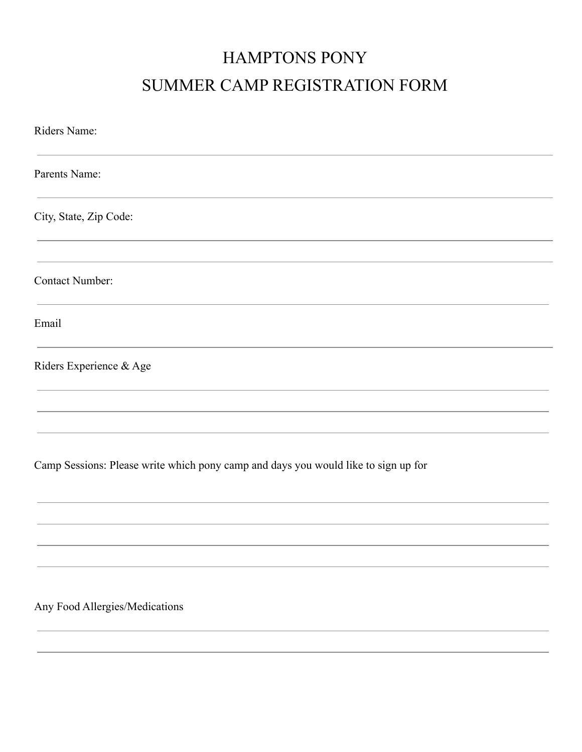## HAMPTONS PONY SUMMER CAMP REGISTRATION FORM

| Riders Name:                                                                       |
|------------------------------------------------------------------------------------|
| Parents Name:                                                                      |
| City, State, Zip Code:                                                             |
| Contact Number:                                                                    |
| Email                                                                              |
| Riders Experience & Age                                                            |
|                                                                                    |
| Camp Sessions: Please write which pony camp and days you would like to sign up for |
|                                                                                    |
|                                                                                    |

Any Food Allergies/Medications